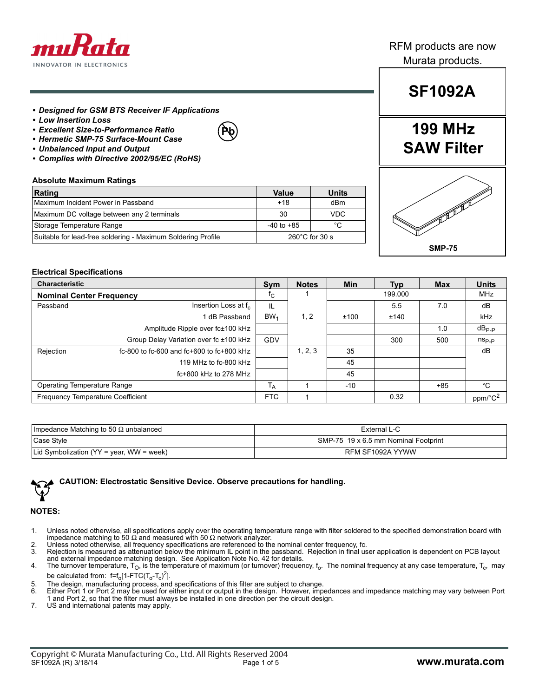

### RFM products are now Murata products.

- *Designed for GSM BTS Receiver IF Applications*
- *Low Insertion Loss*
- *Excellent Size-to-Performance Ratio*
- *Hermetic SMP-75 Surface-Mount Case*
- *Unbalanced Input and Output*
- *Complies with Directive 2002/95/EC (RoHS)*

#### **Absolute Maximum Ratings**

| Rating                                                       | Value                    | Units      |  |
|--------------------------------------------------------------|--------------------------|------------|--|
| Maximum Incident Power in Passband                           | $+18$                    | dBm        |  |
| Maximum DC voltage between any 2 terminals                   | 30                       | <b>VDC</b> |  |
| Storage Temperature Range                                    | $-40$ to $+85$           | °C         |  |
| Suitable for lead-free soldering - Maximum Soldering Profile | $260^{\circ}$ C for 30 s |            |  |

**Pb**

# **SF1092A**

## **199 MHz SAW Filter**



#### **Electrical Specifications**

| <b>Characteristic</b>              |                                           | <b>Sym</b>        | <b>Notes</b> | <b>Min</b> | Typ  | <b>Max</b> | <b>Units</b>        |
|------------------------------------|-------------------------------------------|-------------------|--------------|------------|------|------------|---------------------|
| <b>Nominal Center Frequency</b>    |                                           | TC.               | 199.000      |            |      | <b>MHz</b> |                     |
| Passband                           | Insertion Loss at f <sub>c</sub>          | IL                |              |            | 5.5  | 7.0        | dB                  |
|                                    | 1 dB Passband                             | BW <sub>1</sub>   | 1, 2         | ±100       | ±140 |            | <b>kHz</b>          |
|                                    | Amplitude Ripple over fc±100 kHz          |                   |              |            |      | 1.0        | $dB_{\mathsf{P-P}}$ |
|                                    | Group Delay Variation over fc ±100 kHz    | GDV               |              |            | 300  | 500        | $n_{\rm Sp,p}$      |
| Rejection                          | fc-800 to fc-600 and fc+600 to fc+800 kHz |                   | 1, 2, 3      | 35         |      |            | dB                  |
|                                    | 119 MHz to fc-800 kHz                     |                   |              | 45         |      |            |                     |
|                                    | $fc+800$ kHz to 278 MHz                   |                   |              | 45         |      |            |                     |
| <b>Operating Temperature Range</b> |                                           | $^{\mathsf{I}}$ A |              | $-10$      |      | $+85$      | °C                  |
| Frequency Temperature Coefficient  |                                           | <b>FTC</b>        |              |            | 0.32 |            | ppm/°C <sup>2</sup> |

| Impedance Matching to 50 $\Omega$ unbalanced | External L-C                         |
|----------------------------------------------|--------------------------------------|
| Case Style                                   | SMP-75 19 x 6.5 mm Nominal Footprint |
| Lid Symbolization ( $YY = year$ , WW = week) | RFM SF1092A YYWW                     |



**CAUTION: Electrostatic Sensitive Device. Observe precautions for handling.**

#### **NOTES:**

- 1. Unless noted otherwise, all specifications apply over the operating temperature range with filter soldered to the specified demonstration board with impedance matching to 50 Ω and measured with 50 Ω network analyzer.
- 2. Unless noted otherwise, all frequency specifications are referenced to the nominal center frequency, fc.
- 3. Rejection is measured as attenuation below the minimum IL point in the passband. Rejection in final user application is dependent on PCB layout and external impedance matching design. See Application Note No. 42 for details.
- 4. The turnover temperature,  $T_{\rm O}$ , is the temperature of maximum (or turnover) frequency,  $f_{\rm O}$ . The nominal frequency at any case temperature,  $T_{\rm C}$ , may be calculated from: f=f<sub>o</sub>[1-FTC(T<sub>o</sub>-T<sub>c</sub>)<sup>2</sup>].
- 5. The design, manufacturing process, and specifications of this filter are subject to change.
- 6. Either Port 1 or Port 2 may be used for either input or output in the design. However, impedances and impedance matching may vary between Port 1 and Port 2, so that the filter must always be installed in one direction per the circuit design.
- 7. US and international patents may apply.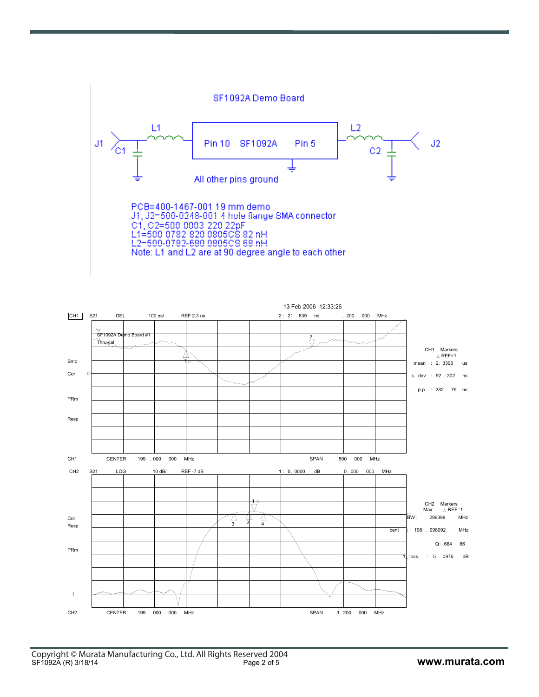

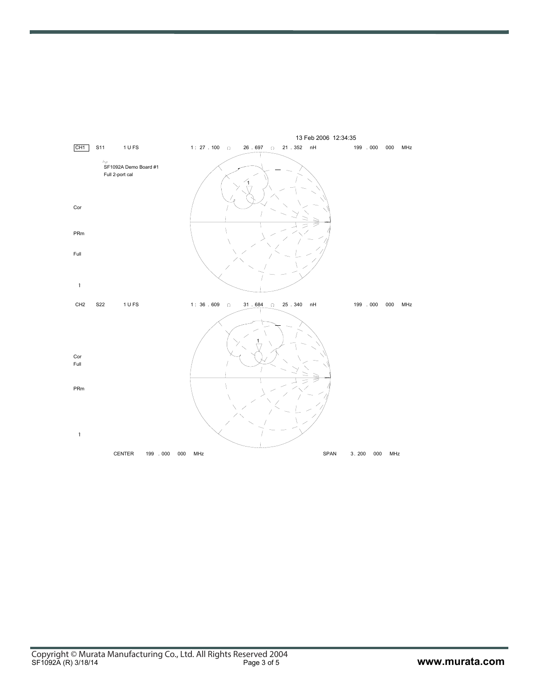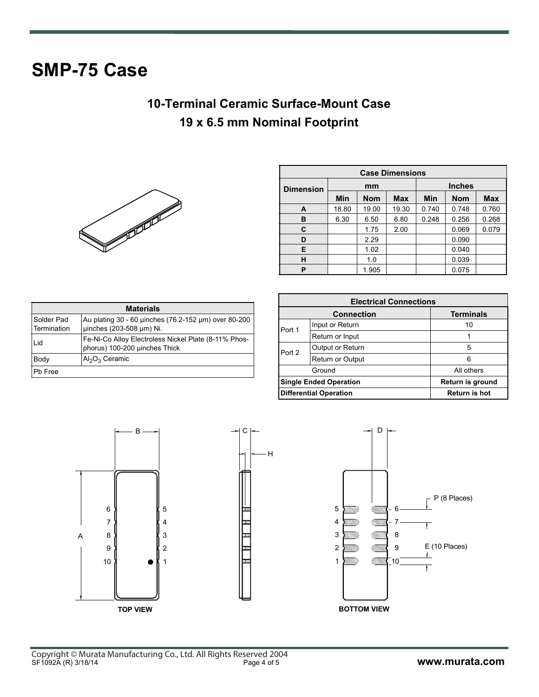# **SMP-75 Case**

## **10-Terminal Ceramic Surface-Mount Case 19 x 6.5 mm Nominal Footprint**



| <b>Case Dimensions</b> |       |            |            |               |            |            |
|------------------------|-------|------------|------------|---------------|------------|------------|
| <b>Dimension</b>       | mm    |            |            | <b>Inches</b> |            |            |
|                        | Min   | <b>Nom</b> | <b>Max</b> | Min           | <b>Nom</b> | <b>Max</b> |
| A                      | 18.80 | 19.00      | 19.30      | 0.740         | 0.748      | 0.760      |
| в                      | 6.30  | 6.50       | 6.80       | 0.248         | 0.256      | 0.268      |
| C                      |       | 1.75       | 2.00       |               | 0.069      | 0.079      |
| D                      |       | 2.29       |            |               | 0.090      |            |
| E                      |       | 1.02       |            |               | 0.040      |            |
| н                      |       | 1.0        |            |               | 0.039      |            |
| P                      |       | 1.905      |            |               | 0.075      |            |

| <b>Materials</b>          |                                                                                       |  |  |  |  |
|---------------------------|---------------------------------------------------------------------------------------|--|--|--|--|
| Solder Pad<br>Termination | Au plating 30 - 60 µinches (76.2-152 µm) over 80-200<br>uinches (203-508 µm) Ni.      |  |  |  |  |
| Lid                       | Fe-Ni-Co Alloy Electroless Nickel Plate (8-11% Phos-<br>phorus) 100-200 µinches Thick |  |  |  |  |
| Body                      | $Al_2O_3$ Ceramic                                                                     |  |  |  |  |
| Pb Free                   |                                                                                       |  |  |  |  |

| <b>Electrical Connections</b> |                               |                  |  |
|-------------------------------|-------------------------------|------------------|--|
|                               | <b>Connection</b>             | <b>Terminals</b> |  |
| Port 1                        | Input or Return               | 10               |  |
|                               | Return or Input               |                  |  |
| Port 2                        | Output or Return              | 5                |  |
|                               | Return or Output              | 6                |  |
|                               | Ground                        | All others       |  |
| <b>Single Ended Operation</b> |                               | Return is ground |  |
|                               | <b>Differential Operation</b> | Return is hot    |  |

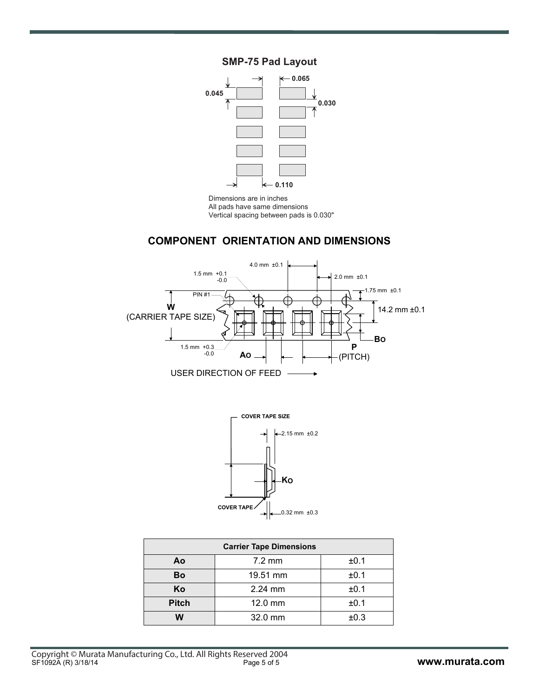### **SMP-75 Pad Layou**



imensions are in inche All pads have same dimension Vertical spacing between pads is 0.030

### **COMPONENT ORIENTATION AND DIMENSIONS**





| <b>Carrier Tape Dimensions</b> |                  |      |  |  |
|--------------------------------|------------------|------|--|--|
| Ao                             | $7.2 \text{ mm}$ | ±0.1 |  |  |
| Bo                             | 19.51 mm         | ±0.1 |  |  |
| Ko                             | $2.24$ mm        | ±0.1 |  |  |
| <b>Pitch</b>                   | 12.0 mm          | ±0.1 |  |  |
| w                              | 32.0 mm          | ±0.3 |  |  |